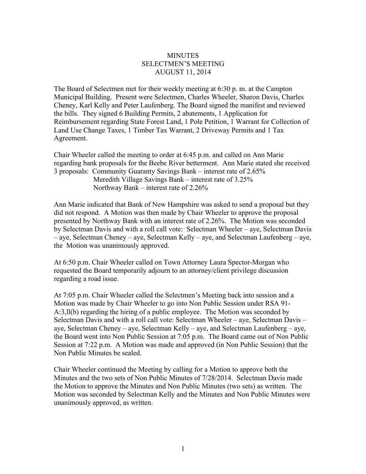## **MINUTES** SELECTMEN'S MEETING AUGUST 11, 2014

The Board of Selectmen met for their weekly meeting at 6:30 p. m. at the Campton Municipal Building. Present were Selectmen, Charles Wheeler, Sharon Davis, Charles Cheney, Karl Kelly and Peter Laufenberg. The Board signed the manifest and reviewed the bills. They signed 6 Building Permits, 2 abatements, 1 Application for Reimbursement regarding State Forest Land, 1 Pole Petition, 1 Warrant for Collection of Land Use Change Taxes, 1 Timber Tax Warrant, 2 Driveway Permits and 1 Tax Agreement.

Chair Wheeler called the meeting to order at 6:45 p.m. and called on Ann Marie regarding bank proposals for the Beebe River betterment. Ann Marie stated she received 3 proposals: Community Guaranty Savings Bank – interest rate of 2.65% Meredith Village Savings Bank – interest rate of 3.25% Northway Bank – interest rate of 2.26%

Ann Marie indicated that Bank of New Hampshire was asked to send a proposal but they did not respond. A Motion was then made by Chair Wheeler to approve the proposal presented by Northway Bank with an interest rate of 2.26%. The Motion was seconded by Selectman Davis and with a roll call vote: Selectman Wheeler – aye, Selectman Davis – aye, Selectman Cheney – aye, Selectman Kelly – aye, and Selectman Laufenberg – aye, the Motion was unanimously approved.

At 6:50 p.m. Chair Wheeler called on Town Attorney Laura Spector-Morgan who requested the Board temporarily adjourn to an attorney/client privilege discussion regarding a road issue.

At 7:05 p.m. Chair Wheeler called the Selectmen's Meeting back into session and a Motion was made by Chair Wheeler to go into Non Public Session under RSA 91- A:3,ll(b) regarding the hiring of a public employee. The Motion was seconded by Selectman Davis and with a roll call vote: Selectman Wheeler – aye, Selectman Davis – aye, Selectman Cheney – aye, Selectman Kelly – aye, and Selectman Laufenberg – aye, the Board went into Non Public Session at 7:05 p.m. The Board came out of Non Public Session at 7:22 p.m. A Motion was made and approved (in Non Public Session) that the Non Public Minutes be sealed.

Chair Wheeler continued the Meeting by calling for a Motion to approve both the Minutes and the two sets of Non Public Minutes of 7/28/2014. Selectman Davis made the Motion to approve the Minutes and Non Public Minutes (two sets) as written. The Motion was seconded by Selectman Kelly and the Minutes and Non Public Minutes were unanimously approved, as written.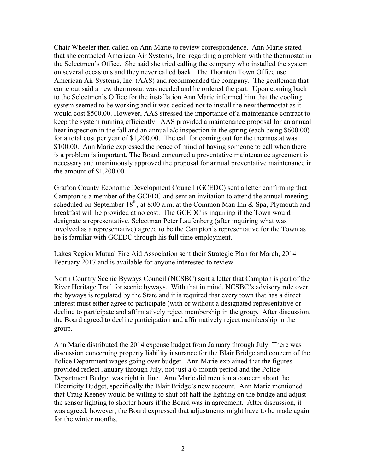Chair Wheeler then called on Ann Marie to review correspondence. Ann Marie stated that she contacted American Air Systems, Inc. regarding a problem with the thermostat in the Selectmen's Office. She said she tried calling the company who installed the system on several occasions and they never called back. The Thornton Town Office use American Air Systems, Inc. (AAS) and recommended the company. The gentlemen that came out said a new thermostat was needed and he ordered the part. Upon coming back to the Selectmen's Office for the installation Ann Marie informed him that the cooling system seemed to be working and it was decided not to install the new thermostat as it would cost \$500.00. However, AAS stressed the importance of a maintenance contract to keep the system running efficiently. AAS provided a maintenance proposal for an annual heat inspection in the fall and an annual a/c inspection in the spring (each being \$600.00) for a total cost per year of \$1,200.00. The call for coming out for the thermostat was \$100.00. Ann Marie expressed the peace of mind of having someone to call when there is a problem is important. The Board concurred a preventative maintenance agreement is necessary and unanimously approved the proposal for annual preventative maintenance in the amount of \$1,200.00.

Grafton County Economic Development Council (GCEDC) sent a letter confirming that Campton is a member of the GCEDC and sent an invitation to attend the annual meeting scheduled on September  $18<sup>th</sup>$ , at  $8:00$  a.m. at the Common Man Inn & Spa, Plymouth and breakfast will be provided at no cost. The GCEDC is inquiring if the Town would designate a representative. Selectman Peter Laufenberg (after inquiring what was involved as a representative) agreed to be the Campton's representative for the Town as he is familiar with GCEDC through his full time employment.

Lakes Region Mutual Fire Aid Association sent their Strategic Plan for March, 2014 – February 2017 and is available for anyone interested to review.

North Country Scenic Byways Council (NCSBC) sent a letter that Campton is part of the River Heritage Trail for scenic byways. With that in mind, NCSBC's advisory role over the byways is regulated by the State and it is required that every town that has a direct interest must either agree to participate (with or without a designated representative or decline to participate and affirmatively reject membership in the group. After discussion, the Board agreed to decline participation and affirmatively reject membership in the group.

Ann Marie distributed the 2014 expense budget from January through July. There was discussion concerning property liability insurance for the Blair Bridge and concern of the Police Department wages going over budget. Ann Marie explained that the figures provided reflect January through July, not just a 6-month period and the Police Department Budget was right in line. Ann Marie did mention a concern about the Electricity Budget, specifically the Blair Bridge's new account. Ann Marie mentioned that Craig Keeney would be willing to shut off half the lighting on the bridge and adjust the sensor lighting to shorter hours if the Board was in agreement. After discussion, it was agreed; however, the Board expressed that adjustments might have to be made again for the winter months.